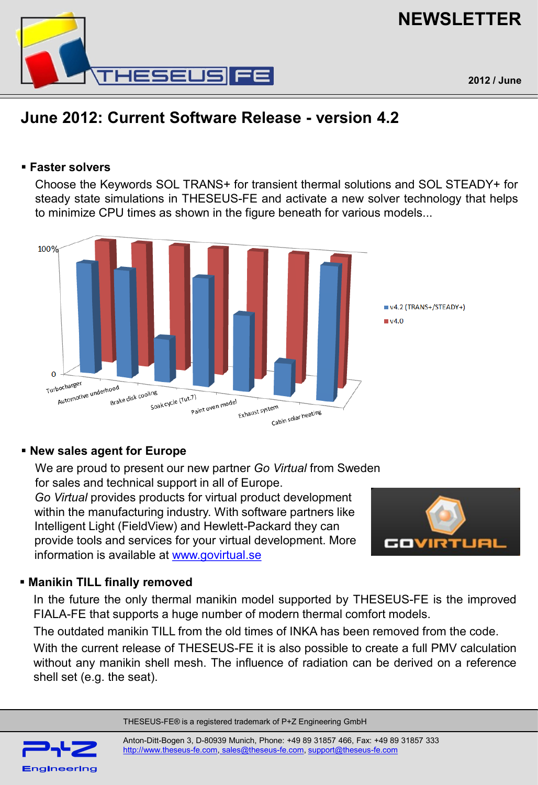

# **NEWSLETTER**

## **June 2012: Current Software Release - version 4.2**

#### **Faster solvers**

Choose the Keywords SOL TRANS+ for transient thermal solutions and SOL STEADY+ for steady state simulations in THESEUS-FE and activate a new solver technology that helps to minimize CPU times as shown in the figure beneath for various models...



### **New sales agent for Europe**

We are proud to present our new partner *Go Virtual* from Sweden for sales and technical support in all of Europe.

*Go Virtual* provides products for virtual product development within the manufacturing industry. With software partners like Intelligent Light (FieldView) and Hewlett-Packard they can provide tools and services for your virtual development. More information is available at [www.govirtual.se](http://www.govirtual.se/)



### **Manikin TILL finally removed**

In the future the only thermal manikin model supported by THESEUS-FE is the improved FIALA-FE that supports a huge number of modern thermal comfort models.

The outdated manikin TILL from the old times of INKA has been removed from the code.

With the current release of THESEUS-FE it is also possible to create a full PMV calculation without any manikin shell mesh. The influence of radiation can be derived on a reference shell set (e.g. the seat).

THESEUS-FE® is a registered trademark of P+Z Engineering GmbH



Anton-Ditt-Bogen 3, D-80939 Munich, Phone: +49 89 31857 466, Fax: +49 89 31857 333 [http://www.theseus-fe.com](http://www.theseus-fe.com/), [sales@theseus-fe.com](mailto:%20sales@theseus-fe.com), [support@theseus-fe.com](mailto:support@theseus-fe.com)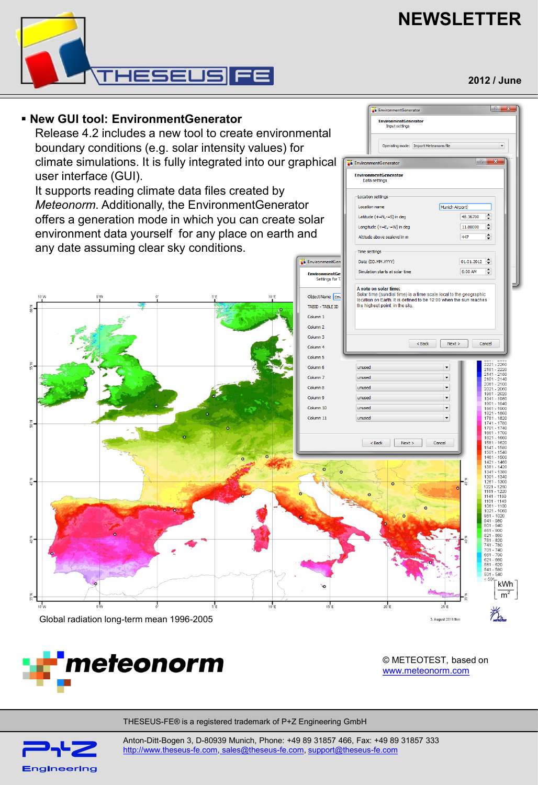# **NEWSLETTER**

**EnvironmentGenerator** EnvironmentGenerator<br>Input settings

**A** EnvironmentGenerator EnvironmentGenerato<br>Data settings

Location settings

**Time settings** 

Latitude (+=N,-=S) in deg

Longitude (+=E,-=W) in deg

Altitude above sealevel in m

Operating mode: Import Meteonorm file



#### **New GUI tool: EnvironmentGenerator**

Release 4.2 includes a new tool to create environmental boundary conditions (e.g. solar intensity values) for climate simulations. It is fully integrated into our graphical user interface (GUI).

It supports reading climate data files created by *Meteonorm*. Additionally, the EnvironmentGenerator offers a generation mode in which you can create solar environment data yourself for any place on earth and any date assuming clear sky conditions.



![](_page_1_Picture_6.jpeg)

© METEOTEST, based on [www.meteonorm.com](http://www.meteonorm.com/)

THESEUS-FE® is a registered trademark of P+Z Engineering GmbH

![](_page_1_Picture_9.jpeg)

Anton-Ditt-Bogen 3, D-80939 Munich, Phone: +49 89 31857 466, Fax: +49 89 31857 333 [http://www.theseus-fe.com](http://www.theseus-fe.com/), [sales@theseus-fe.com](mailto:%20sales@theseus-fe.com), [support@theseus-fe.com](mailto:support@theseus-fe.com)

**2012 / June**

 $|?|x$ 

 $\blacktriangledown$ 

 $\sqrt{2}$ 

Munich Airport

48.36700  $\div$ 

11.80000  $\div$  $\div$ 

447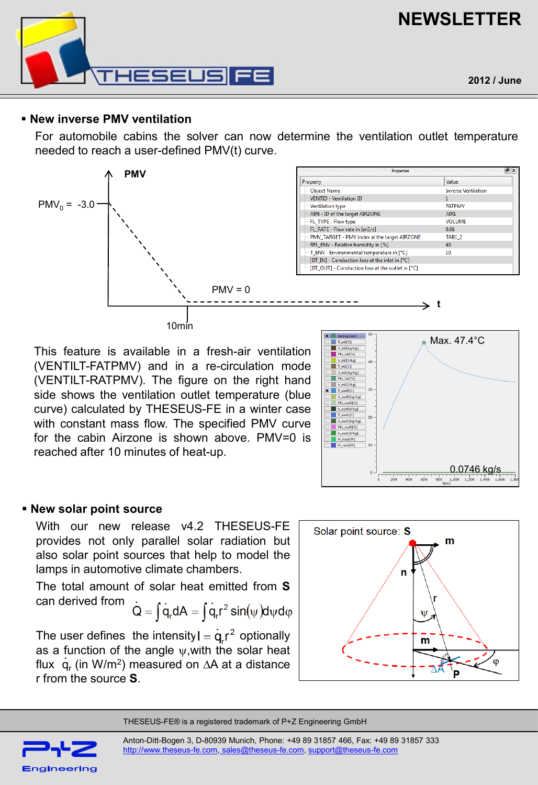![](_page_2_Picture_0.jpeg)

![](_page_2_Picture_1.jpeg)

#### **New inverse PMV ventilation**

For automobile cabins the solver can now determine the ventilation outlet temperature needed to reach a user-defined PMV(t) curve.

![](_page_2_Figure_4.jpeg)

This feature is available in a fresh-air ventilation (VENTILT-FATPMV) and in a re-circulation mode (VENTILT-RATPMV). The figure on the right hand side shows the ventilation outlet temperature (blue curve) calculated by THESEUS-FE in a winter case with constant mass flow. The specified PMV curve for the cabin Airzone is shown above. PMV=0 is reached after 10 minutes of heat-up.

![](_page_2_Figure_6.jpeg)

#### **New solar point source**

With our new release v4.2 THESEUS-FE provides not only parallel solar radiation but also solar point sources that help to model the lamps in automotive climate chambers.

The total amount of solar heat emitted from **S** can derived from **. . .**

$$
Q = \int q_r dA = \int q_r r^2 \sin(\psi) d\psi d\phi
$$

The user defines the intensity  $I = q/r^2$  optionally as a function of the angle  $\psi$ , with the solar heat flux  $\,$  q<sub>r</sub> (in W/m<sup>2</sup>) measured on  $\Delta A$  at a distance r from the source **S**.

![](_page_2_Figure_12.jpeg)

THESEUS-FE® is a registered trademark of P+Z Engineering GmbH

![](_page_2_Picture_14.jpeg)

Anton-Ditt-Bogen 3, D-80939 Munich, Phone: +49 89 31857 466, Fax: +49 89 31857 333 [http://www.theseus-fe.com](http://www.theseus-fe.com/), [sales@theseus-fe.com](mailto:%20sales@theseus-fe.com), [support@theseus-fe.com](mailto:support@theseus-fe.com)